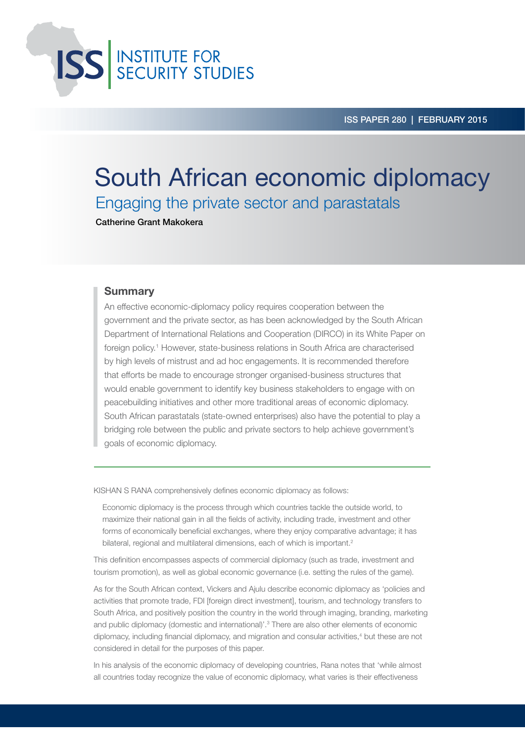**ISS** INSTITUTE FOR<br>SECURITY STUDIES

ISS paper 280 | FEBRUARY 2015

# South African economic diplomacy Engaging the private sector and parastatals

Catherine Grant Makokera

### **Summary**

An effective economic-diplomacy policy requires cooperation between the government and the private sector, as has been acknowledged by the South African Department of International Relations and Cooperation (DIRCO) in its White Paper on foreign policy.1 However, state-business relations in South Africa are characterised by high levels of mistrust and ad hoc engagements. It is recommended therefore that efforts be made to encourage stronger organised-business structures that would enable government to identify key business stakeholders to engage with on peacebuilding initiatives and other more traditional areas of economic diplomacy. South African parastatals (state-owned enterprises) also have the potential to play a bridging role between the public and private sectors to help achieve government's goals of economic diplomacy.

Kishan S Rana comprehensively defines economic diplomacy as follows:

Economic diplomacy is the process through which countries tackle the outside world, to maximize their national gain in all the fields of activity, including trade, investment and other forms of economically beneficial exchanges, where they enjoy comparative advantage; it has bilateral, regional and multilateral dimensions, each of which is important.<sup>2</sup>

This definition encompasses aspects of commercial diplomacy (such as trade, investment and tourism promotion), as well as global economic governance (i.e. setting the rules of the game).

As for the South African context, Vickers and Ajulu describe economic diplomacy as 'policies and activities that promote trade, FDI [foreign direct investment], tourism, and technology transfers to South Africa, and positively position the country in the world through imaging, branding, marketing and public diplomacy (domestic and international)'.3 There are also other elements of economic diplomacy, including financial diplomacy, and migration and consular activities,<sup>4</sup> but these are not considered in detail for the purposes of this paper.

In his analysis of the economic diplomacy of developing countries, Rana notes that 'while almost all countries today recognize the value of economic diplomacy, what varies is their effectiveness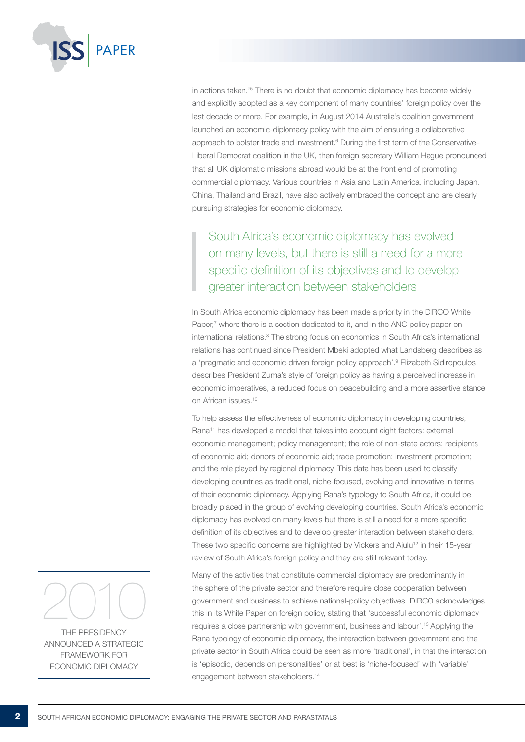

in actions taken.'5 There is no doubt that economic diplomacy has become widely and explicitly adopted as a key component of many countries' foreign policy over the last decade or more. For example, in August 2014 Australia's coalition government launched an economic-diplomacy policy with the aim of ensuring a collaborative approach to bolster trade and investment.<sup>6</sup> During the first term of the Conservative-Liberal Democrat coalition in the UK, then foreign secretary William Hague pronounced that all UK diplomatic missions abroad would be at the front end of promoting commercial diplomacy. Various countries in Asia and Latin America, including Japan, China, Thailand and Brazil, have also actively embraced the concept and are clearly pursuing strategies for economic diplomacy.

South Africa's economic diplomacy has evolved on many levels, but there is still a need for a more specific definition of its objectives and to develop greater interaction between stakeholders

In South Africa economic diplomacy has been made a priority in the DIRCO White Paper,<sup>7</sup> where there is a section dedicated to it, and in the ANC policy paper on international relations.<sup>8</sup> The strong focus on economics in South Africa's international relations has continued since President Mbeki adopted what Landsberg describes as a 'pragmatic and economic-driven foreign policy approach'.<sup>9</sup> Elizabeth Sidiropoulos describes President Zuma's style of foreign policy as having a perceived increase in economic imperatives, a reduced focus on peacebuilding and a more assertive stance on African issues.10

To help assess the effectiveness of economic diplomacy in developing countries, Rana<sup>11</sup> has developed a model that takes into account eight factors: external economic management; policy management; the role of non-state actors; recipients of economic aid; donors of economic aid; trade promotion; investment promotion; and the role played by regional diplomacy. This data has been used to classify developing countries as traditional, niche-focused, evolving and innovative in terms of their economic diplomacy. Applying Rana's typology to South Africa, it could be broadly placed in the group of evolving developing countries. South Africa's economic diplomacy has evolved on many levels but there is still a need for a more specific definition of its objectives and to develop greater interaction between stakeholders. These two specific concerns are highlighted by Vickers and Ajulu<sup>12</sup> in their 15-year review of South Africa's foreign policy and they are still relevant today.

Many of the activities that constitute commercial diplomacy are predominantly in the sphere of the private sector and therefore require close cooperation between government and business to achieve national-policy objectives. DIRCO acknowledges this in its White Paper on foreign policy, stating that 'successful economic diplomacy requires a close partnership with government, business and labour'.13 Applying the Rana typology of economic diplomacy, the interaction between government and the private sector in South Africa could be seen as more 'traditional', in that the interaction is 'episodic, depends on personalities' or at best is 'niche-focused' with 'variable' engagement between stakeholders.14



the Presidency announced a strategic framework for ECONOMIC DIPI OMACY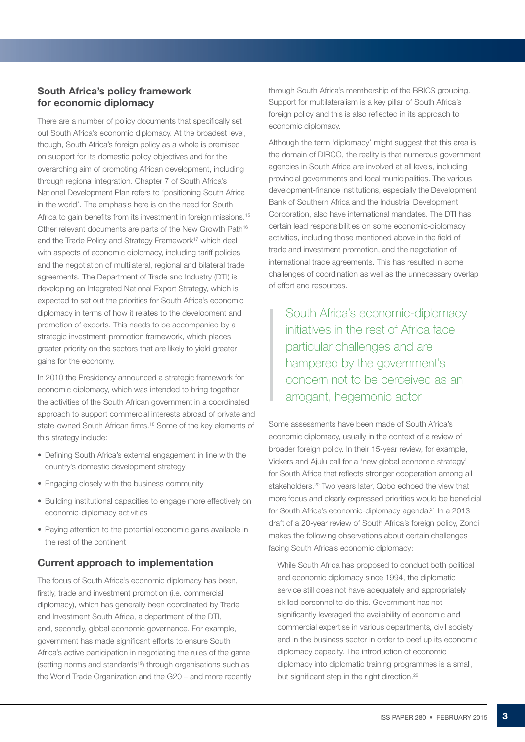### South Africa's policy framework for economic diplomacy

There are a number of policy documents that specifically set out South Africa's economic diplomacy. At the broadest level, though, South Africa's foreign policy as a whole is premised on support for its domestic policy objectives and for the overarching aim of promoting African development, including through regional integration. Chapter 7 of South Africa's National Development Plan refers to 'positioning South Africa in the world'. The emphasis here is on the need for South Africa to gain benefits from its investment in foreign missions.<sup>15</sup> Other relevant documents are parts of the New Growth Path<sup>16</sup> and the Trade Policy and Strategy Framework<sup>17</sup> which deal with aspects of economic diplomacy, including tariff policies and the negotiation of multilateral, regional and bilateral trade agreements. The Department of Trade and Industry (DTI) is developing an Integrated National Export Strategy, which is expected to set out the priorities for South Africa's economic diplomacy in terms of how it relates to the development and promotion of exports. This needs to be accompanied by a strategic investment-promotion framework, which places greater priority on the sectors that are likely to yield greater gains for the economy.

In 2010 the Presidency announced a strategic framework for economic diplomacy, which was intended to bring together the activities of the South African government in a coordinated approach to support commercial interests abroad of private and state-owned South African firms.18 Some of the key elements of this strategy include:

- Defining South Africa's external engagement in line with the country's domestic development strategy
- Engaging closely with the business community
- • Building institutional capacities to engage more effectively on economic-diplomacy activities
- Paying attention to the potential economic gains available in the rest of the continent

## Current approach to implementation

The focus of South Africa's economic diplomacy has been, firstly, trade and investment promotion (i.e. commercial diplomacy), which has generally been coordinated by Trade and Investment South Africa, a department of the DTI, and, secondly, global economic governance. For example, government has made significant efforts to ensure South Africa's active participation in negotiating the rules of the game (setting norms and standards<sup>19</sup>) through organisations such as the World Trade Organization and the G20 – and more recently through South Africa's membership of the BRICS grouping. Support for multilateralism is a key pillar of South Africa's foreign policy and this is also reflected in its approach to economic diplomacy.

Although the term 'diplomacy' might suggest that this area is the domain of DIRCO, the reality is that numerous government agencies in South Africa are involved at all levels, including provincial governments and local municipalities. The various development-finance institutions, especially the Development Bank of Southern Africa and the Industrial Development Corporation, also have international mandates. The DTI has certain lead responsibilities on some economic-diplomacy activities, including those mentioned above in the field of trade and investment promotion, and the negotiation of international trade agreements. This has resulted in some challenges of coordination as well as the unnecessary overlap of effort and resources.

South Africa's economic-diplomacy initiatives in the rest of Africa face particular challenges and are hampered by the government's concern not to be perceived as an arrogant, hegemonic actor

Some assessments have been made of South Africa's economic diplomacy, usually in the context of a review of broader foreign policy. In their 15-year review, for example, Vickers and Ajulu call for a 'new global economic strategy' for South Africa that reflects stronger cooperation among all stakeholders.20 Two years later, Qobo echoed the view that more focus and clearly expressed priorities would be beneficial for South Africa's economic-diplomacy agenda.<sup>21</sup> In a 2013 draft of a 20-year review of South Africa's foreign policy, Zondi makes the following observations about certain challenges facing South Africa's economic diplomacy:

While South Africa has proposed to conduct both political and economic diplomacy since 1994, the diplomatic service still does not have adequately and appropriately skilled personnel to do this. Government has not significantly leveraged the availability of economic and commercial expertise in various departments, civil society and in the business sector in order to beef up its economic diplomacy capacity. The introduction of economic diplomacy into diplomatic training programmes is a small, but significant step in the right direction.<sup>22</sup>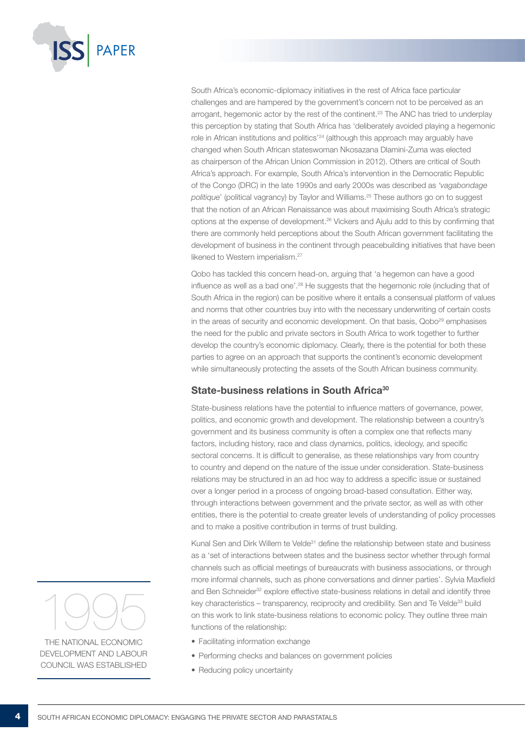

South Africa's economic-diplomacy initiatives in the rest of Africa face particular challenges and are hampered by the government's concern not to be perceived as an arrogant, hegemonic actor by the rest of the continent.23 The ANC has tried to underplay this perception by stating that South Africa has 'deliberately avoided playing a hegemonic role in African institutions and politics'24 (although this approach may arguably have changed when South African stateswoman Nkosazana Dlamini-Zuma was elected as chairperson of the African Union Commission in 2012). Others are critical of South Africa's approach. For example, South Africa's intervention in the Democratic Republic of the Congo (DRC) in the late 1990s and early 2000s was described as *'vagabondage politique*' (political vagrancy) by Taylor and Williams.25 These authors go on to suggest that the notion of an African Renaissance was about maximising South Africa's strategic options at the expense of development.26 Vickers and Ajulu add to this by confirming that there are commonly held perceptions about the South African government facilitating the development of business in the continent through peacebuilding initiatives that have been likened to Western imperialism.<sup>27</sup>

Qobo has tackled this concern head-on, arguing that 'a hegemon can have a good influence as well as a bad one'.<sup>28</sup> He suggests that the hegemonic role (including that of South Africa in the region) can be positive where it entails a consensual platform of values and norms that other countries buy into with the necessary underwriting of certain costs in the areas of security and economic development. On that basis, Qobo<sup>29</sup> emphasises the need for the public and private sectors in South Africa to work together to further develop the country's economic diplomacy. Clearly, there is the potential for both these parties to agree on an approach that supports the continent's economic development while simultaneously protecting the assets of the South African business community.

### State-business relations in South Africa<sup>30</sup>

State-business relations have the potential to influence matters of governance, power, politics, and economic growth and development. The relationship between a country's government and its business community is often a complex one that reflects many factors, including history, race and class dynamics, politics, ideology, and specific sectoral concerns. It is difficult to generalise, as these relationships vary from country to country and depend on the nature of the issue under consideration. State-business relations may be structured in an ad hoc way to address a specific issue or sustained over a longer period in a process of ongoing broad-based consultation. Either way, through interactions between government and the private sector, as well as with other entities, there is the potential to create greater levels of understanding of policy processes and to make a positive contribution in terms of trust building.

Kunal Sen and Dirk Willem te Velde<sup>31</sup> define the relationship between state and business as a 'set of interactions between states and the business sector whether through formal channels such as official meetings of bureaucrats with business associations, or through more informal channels, such as phone conversations and dinner parties'. Sylvia Maxfield and Ben Schneider<sup>32</sup> explore effective state-business relations in detail and identify three key characteristics – transparency, reciprocity and credibility. Sen and Te Velde<sup>33</sup> build on this work to link state-business relations to economic policy. They outline three main functions of the relationship:

- Facilitating information exchange
- Performing checks and balances on government policies
- Reducing policy uncertainty



the National Economic DEVELOPMENT AND LABOUR Council was established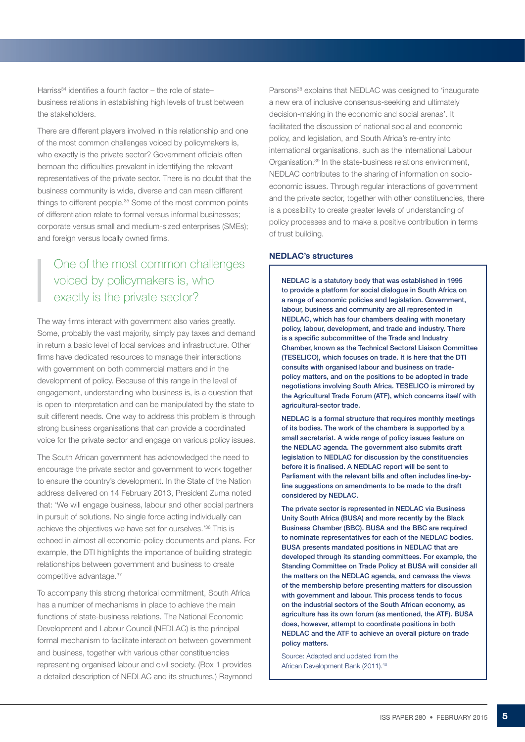Harriss<sup>34</sup> identifies a fourth factor – the role of state– business relations in establishing high levels of trust between the stakeholders.

There are different players involved in this relationship and one of the most common challenges voiced by policymakers is, who exactly is the private sector? Government officials often bemoan the difficulties prevalent in identifying the relevant representatives of the private sector. There is no doubt that the business community is wide, diverse and can mean different things to different people.35 Some of the most common points of differentiation relate to formal versus informal businesses; corporate versus small and medium-sized enterprises (SMEs); and foreign versus locally owned firms.

# One of the most common challenges voiced by policymakers is, who exactly is the private sector?

The way firms interact with government also varies greatly. Some, probably the vast majority, simply pay taxes and demand in return a basic level of local services and infrastructure. Other firms have dedicated resources to manage their interactions with government on both commercial matters and in the development of policy. Because of this range in the level of engagement, understanding who business is, is a question that is open to interpretation and can be manipulated by the state to suit different needs. One way to address this problem is through strong business organisations that can provide a coordinated voice for the private sector and engage on various policy issues.

The South African government has acknowledged the need to encourage the private sector and government to work together to ensure the country's development. In the State of the Nation address delivered on 14 February 2013, President Zuma noted that: 'We will engage business, labour and other social partners in pursuit of solutions. No single force acting individually can achieve the objectives we have set for ourselves.'36 This is echoed in almost all economic-policy documents and plans. For example, the DTI highlights the importance of building strategic relationships between government and business to create competitive advantage.37

To accompany this strong rhetorical commitment, South Africa has a number of mechanisms in place to achieve the main functions of state-business relations. The National Economic Development and Labour Council (NEDLAC) is the principal formal mechanism to facilitate interaction between government and business, together with various other constituencies representing organised labour and civil society. (Box 1 provides a detailed description of NEDLAC and its structures.) Raymond Parsons<sup>38</sup> explains that NEDLAC was designed to 'inaugurate a new era of inclusive consensus-seeking and ultimately decision-making in the economic and social arenas'. It facilitated the discussion of national social and economic policy, and legislation, and South Africa's re-entry into international organisations, such as the International Labour Organisation.39 In the state-business relations environment, NEDLAC contributes to the sharing of information on socioeconomic issues. Through regular interactions of government and the private sector, together with other constituencies, there is a possibility to create greater levels of understanding of policy processes and to make a positive contribution in terms of trust building.

### NEDLAC's structures

NEDLAC is a statutory body that was established in 1995 to provide a platform for social dialogue in South Africa on a range of economic policies and legislation. Government, labour, business and community are all represented in NEDLAC, which has four chambers dealing with monetary policy, labour, development, and trade and industry. There is a specific subcommittee of the Trade and Industry Chamber, known as the Technical Sectoral Liaison Committee (TESELICO), which focuses on trade. It is here that the DTI consults with organised labour and business on tradepolicy matters, and on the positions to be adopted in trade negotiations involving South Africa. TESELICO is mirrored by the Agricultural Trade Forum (ATF), which concerns itself with agricultural-sector trade.

NEDLAC is a formal structure that requires monthly meetings of its bodies. The work of the chambers is supported by a small secretariat. A wide range of policy issues feature on the NEDLAC agenda. The government also submits draft legislation to NEDLAC for discussion by the constituencies before it is finalised. A NEDLAC report will be sent to Parliament with the relevant bills and often includes line-byline suggestions on amendments to be made to the draft considered by NEDLAC.

The private sector is represented in NEDLAC via Business Unity South Africa (BUSA) and more recently by the Black Business Chamber (BBC). BUSA and the BBC are required to nominate representatives for each of the NEDLAC bodies. BUSA presents mandated positions in NEDLAC that are developed through its standing committees. For example, the Standing Committee on Trade Policy at BUSA will consider all the matters on the NEDLAC agenda, and canvass the views of the membership before presenting matters for discussion with government and labour. This process tends to focus on the industrial sectors of the South African economy, as agriculture has its own forum (as mentioned, the ATF). BUSA does, however, attempt to coordinate positions in both NEDLAC and the ATF to achieve an overall picture on trade policy matters.

 Source: Adapted and updated from the African Development Bank (2011).<sup>40</sup>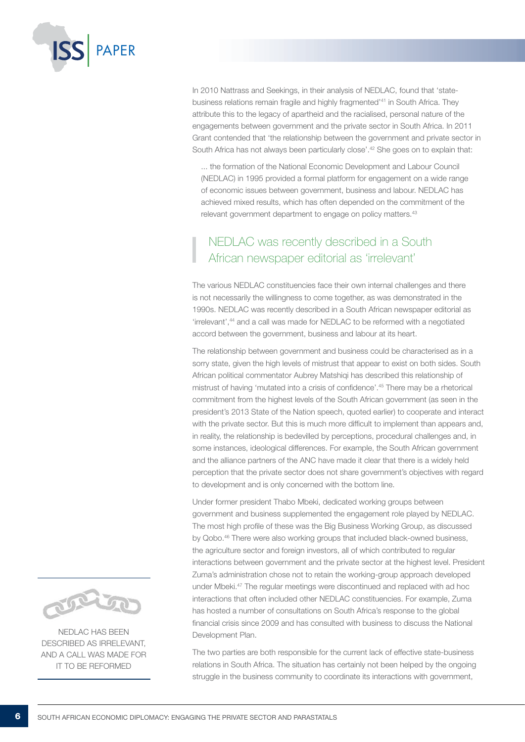

In 2010 Nattrass and Seekings, in their analysis of NEDLAC, found that 'statebusiness relations remain fragile and highly fragmented<sup>141</sup> in South Africa. They attribute this to the legacy of apartheid and the racialised, personal nature of the engagements between government and the private sector in South Africa. In 2011 Grant contended that 'the relationship between the government and private sector in South Africa has not always been particularly close'.<sup>42</sup> She goes on to explain that:

... the formation of the National Economic Development and Labour Council (NEDLAC) in 1995 provided a formal platform for engagement on a wide range of economic issues between government, business and labour. NEDLAC has achieved mixed results, which has often depended on the commitment of the relevant government department to engage on policy matters.<sup>43</sup>

# NEDLAC was recently described in a South African newspaper editorial as 'irrelevant'

The various NEDLAC constituencies face their own internal challenges and there is not necessarily the willingness to come together, as was demonstrated in the 1990s. NEDLAC was recently described in a South African newspaper editorial as 'irrelevant',44 and a call was made for NEDLAC to be reformed with a negotiated accord between the government, business and labour at its heart.

The relationship between government and business could be characterised as in a sorry state, given the high levels of mistrust that appear to exist on both sides. South African political commentator Aubrey Matshiqi has described this relationship of mistrust of having 'mutated into a crisis of confidence'.45 There may be a rhetorical commitment from the highest levels of the South African government (as seen in the president's 2013 State of the Nation speech, quoted earlier) to cooperate and interact with the private sector. But this is much more difficult to implement than appears and, in reality, the relationship is bedevilled by perceptions, procedural challenges and, in some instances, ideological differences. For example, the South African government and the alliance partners of the ANC have made it clear that there is a widely held perception that the private sector does not share government's objectives with regard to development and is only concerned with the bottom line.

Under former president Thabo Mbeki, dedicated working groups between government and business supplemented the engagement role played by NEDLAC. The most high profile of these was the Big Business Working Group, as discussed by Qobo.<sup>46</sup> There were also working groups that included black-owned business, the agriculture sector and foreign investors, all of which contributed to regular interactions between government and the private sector at the highest level. President Zuma's administration chose not to retain the working-group approach developed under Mbeki.47 The regular meetings were discontinued and replaced with ad hoc interactions that often included other NEDLAC constituencies. For example, Zuma has hosted a number of consultations on South Africa's response to the global financial crisis since 2009 and has consulted with business to discuss the National Development Plan.

The two parties are both responsible for the current lack of effective state-business relations in South Africa. The situation has certainly not been helped by the ongoing struggle in the business community to coordinate its interactions with government,



NEDLAC has been described as irrelevant, and a call was made for it to be reformed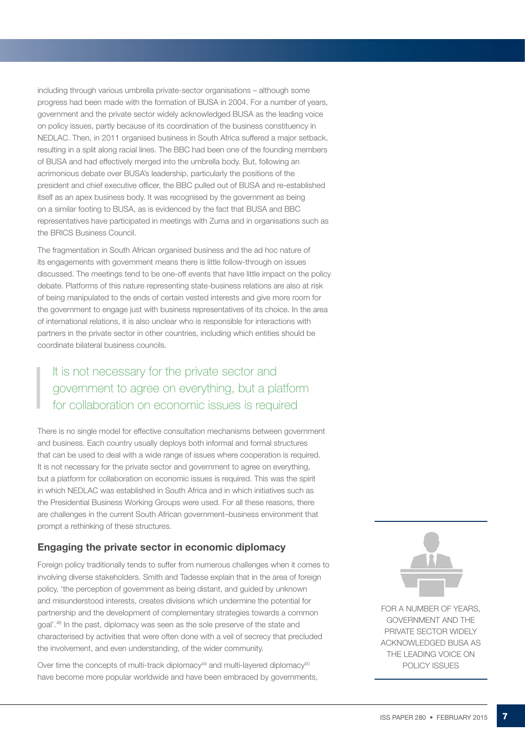including through various umbrella private-sector organisations – although some progress had been made with the formation of BUSA in 2004. For a number of years, government and the private sector widely acknowledged BUSA as the leading voice on policy issues, partly because of its coordination of the business constituency in NEDLAC. Then, in 2011 organised business in South Africa suffered a major setback, resulting in a split along racial lines. The BBC had been one of the founding members of BUSA and had effectively merged into the umbrella body. But, following an acrimonious debate over BUSA's leadership, particularly the positions of the president and chief executive officer, the BBC pulled out of BUSA and re-established itself as an apex business body. It was recognised by the government as being on a similar footing to BUSA, as is evidenced by the fact that BUSA and BBC representatives have participated in meetings with Zuma and in organisations such as the BRICS Business Council.

The fragmentation in South African organised business and the ad hoc nature of its engagements with government means there is little follow-through on issues discussed. The meetings tend to be one-off events that have little impact on the policy debate. Platforms of this nature representing state-business relations are also at risk of being manipulated to the ends of certain vested interests and give more room for the government to engage just with business representatives of its choice. In the area of international relations, it is also unclear who is responsible for interactions with partners in the private sector in other countries, including which entities should be coordinate bilateral business councils.

# It is not necessary for the private sector and government to agree on everything, but a platform for collaboration on economic issues is required

There is no single model for effective consultation mechanisms between government and business. Each country usually deploys both informal and formal structures that can be used to deal with a wide range of issues where cooperation is required. It is not necessary for the private sector and government to agree on everything, but a platform for collaboration on economic issues is required. This was the spirit in which NEDLAC was established in South Africa and in which initiatives such as the Presidential Business Working Groups were used. For all these reasons, there are challenges in the current South African government–business environment that prompt a rethinking of these structures.

### Engaging the private sector in economic diplomacy

Foreign policy traditionally tends to suffer from numerous challenges when it comes to involving diverse stakeholders. Smith and Tadesse explain that in the area of foreign policy, 'the perception of government as being distant, and guided by unknown and misunderstood interests, creates divisions which undermine the potential for partnership and the development of complementary strategies towards a common goal'.48 In the past, diplomacy was seen as the sole preserve of the state and characterised by activities that were often done with a veil of secrecy that precluded the involvement, and even understanding, of the wider community.

Over time the concepts of multi-track diplomacy<sup>49</sup> and multi-layered diplomacy<sup>50</sup> have become more popular worldwide and have been embraced by governments,



FOR A NUMBER OF YEARS. government and the private sector widely acknowledged BUSA as the leading voice on policy issues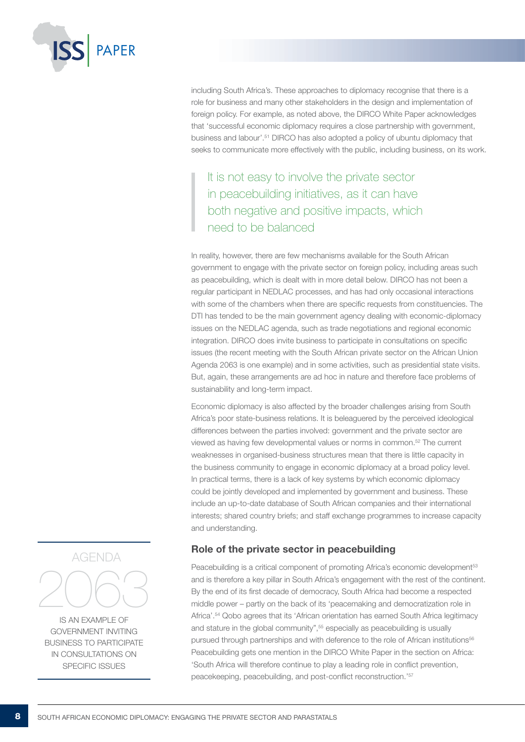

including South Africa's. These approaches to diplomacy recognise that there is a role for business and many other stakeholders in the design and implementation of foreign policy. For example, as noted above, the DIRCO White Paper acknowledges that 'successful economic diplomacy requires a close partnership with government, business and labour'.51 DIRCO has also adopted a policy of ubuntu diplomacy that seeks to communicate more effectively with the public, including business, on its work.

It is not easy to involve the private sector in peacebuilding initiatives, as it can have both negative and positive impacts, which need to be balanced

In reality, however, there are few mechanisms available for the South African government to engage with the private sector on foreign policy, including areas such as peacebuilding, which is dealt with in more detail below. DIRCO has not been a regular participant in NEDLAC processes, and has had only occasional interactions with some of the chambers when there are specific requests from constituencies. The DTI has tended to be the main government agency dealing with economic-diplomacy issues on the NEDLAC agenda, such as trade negotiations and regional economic integration. DIRCO does invite business to participate in consultations on specific issues (the recent meeting with the South African private sector on the African Union Agenda 2063 is one example) and in some activities, such as presidential state visits. But, again, these arrangements are ad hoc in nature and therefore face problems of sustainability and long-term impact.

Economic diplomacy is also affected by the broader challenges arising from South Africa's poor state-business relations. It is beleaguered by the perceived ideological differences between the parties involved: government and the private sector are viewed as having few developmental values or norms in common.52 The current weaknesses in organised-business structures mean that there is little capacity in the business community to engage in economic diplomacy at a broad policy level. In practical terms, there is a lack of key systems by which economic diplomacy could be jointly developed and implemented by government and business. These include an up-to-date database of South African companies and their international interests; shared country briefs; and staff exchange programmes to increase capacity and understanding.

### Role of the private sector in peacebuilding

Peacebuilding is a critical component of promoting Africa's economic development<sup>53</sup> and is therefore a key pillar in South Africa's engagement with the rest of the continent. By the end of its first decade of democracy, South Africa had become a respected middle power – partly on the back of its 'peacemaking and democratization role in Africa'.54 Qobo agrees that its 'African orientation has earned South Africa legitimacy and stature in the global community",<sup>55</sup> especially as peacebuilding is usually pursued through partnerships and with deference to the role of African institutions<sup>56</sup> Peacebuilding gets one mention in the DIRCO White Paper in the section on Africa: 'South Africa will therefore continue to play a leading role in conflict prevention, peacekeeping, peacebuilding, and post-conflict reconstruction.'57



is an example of government inviting business to participate in consultations on specific issues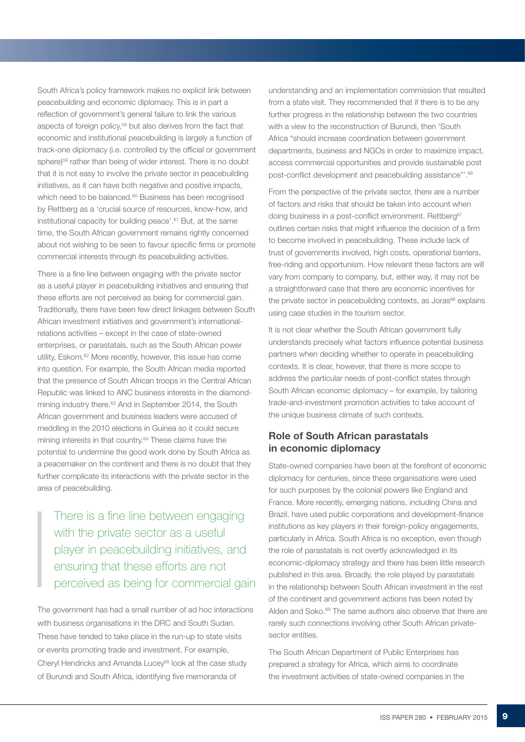South Africa's policy framework makes no explicit link between peacebuilding and economic diplomacy. This is in part a reflection of government's general failure to link the various aspects of foreign policy,58 but also derives from the fact that economic and institutional peacebuilding is largely a function of track-one diplomacy (i.e. controlled by the official or government sphere)<sup>59</sup> rather than being of wider interest. There is no doubt that it is not easy to involve the private sector in peacebuilding initiatives, as it can have both negative and positive impacts, which need to be balanced.<sup>60</sup> Business has been recognised by Rettberg as a 'crucial source of resources, know-how, and institutional capacity for building peace'.<sup>61</sup> But, at the same time, the South African government remains rightly concerned about not wishing to be seen to favour specific firms or promote commercial interests through its peacebuilding activities.

There is a fine line between engaging with the private sector as a useful player in peacebuilding initiatives and ensuring that these efforts are not perceived as being for commercial gain. Traditionally, there have been few direct linkages between South African investment initiatives and government's internationalrelations activities – except in the case of state-owned enterprises, or parastatals, such as the South African power utility, Eskom.62 More recently, however, this issue has come into question. For example, the South African media reported that the presence of South African troops in the Central African Republic was linked to ANC business interests in the diamondmining industry there.<sup>63</sup> And in September 2014, the South African government and business leaders were accused of meddling in the 2010 elections in Guinea so it could secure mining interests in that country.<sup>64</sup> These claims have the potential to undermine the good work done by South Africa as a peacemaker on the continent and there is no doubt that they further complicate its interactions with the private sector in the area of peacebuilding.

There is a fine line between engaging with the private sector as a useful player in peacebuilding initiatives, and ensuring that these efforts are not perceived as being for commercial gain

The government has had a small number of ad hoc interactions with business organisations in the DRC and South Sudan. These have tended to take place in the run-up to state visits or events promoting trade and investment. For example, Cheryl Hendricks and Amanda Lucey<sup>65</sup> look at the case study of Burundi and South Africa, identifying five memoranda of

understanding and an implementation commission that resulted from a state visit. They recommended that if there is to be any further progress in the relationship between the two countries with a view to the reconstruction of Burundi, then 'South Africa "should increase coordination between government departments, business and NGOs in order to maximize impact, access commercial opportunities and provide sustainable post post-conflict development and peacebuilding assistance"'.<sup>66</sup>

From the perspective of the private sector, there are a number of factors and risks that should be taken into account when doing business in a post-conflict environment. Rettberg<sup>67</sup> outlines certain risks that might influence the decision of a firm to become involved in peacebuilding. These include lack of trust of governments involved, high costs, operational barriers, free-riding and opportunism. How relevant these factors are will vary from company to company, but, either way, it may not be a straightforward case that there are economic incentives for the private sector in peacebuilding contexts, as Joras<sup>68</sup> explains using case studies in the tourism sector.

It is not clear whether the South African government fully understands precisely what factors influence potential business partners when deciding whether to operate in peacebuilding contexts. It is clear, however, that there is more scope to address the particular needs of post-conflict states through South African economic diplomacy – for example, by tailoring trade-and-investment promotion activities to take account of the unique business climate of such contexts.

## Role of South African parastatals in economic diplomacy

State-owned companies have been at the forefront of economic diplomacy for centuries, since these organisations were used for such purposes by the colonial powers like England and France. More recently, emerging nations, including China and Brazil, have used public corporations and development-finance institutions as key players in their foreign-policy engagements, particularly in Africa. South Africa is no exception, even though the role of parastatals is not overtly acknowledged in its economic-diplomacy strategy and there has been little research published in this area. Broadly, the role played by parastatals in the relationship between South African investment in the rest of the continent and government actions has been noted by Alden and Soko.<sup>69</sup> The same authors also observe that there are rarely such connections involving other South African privatesector entities.

The South African Department of Public Enterprises has prepared a strategy for Africa, which aims to coordinate the investment activities of state-owned companies in the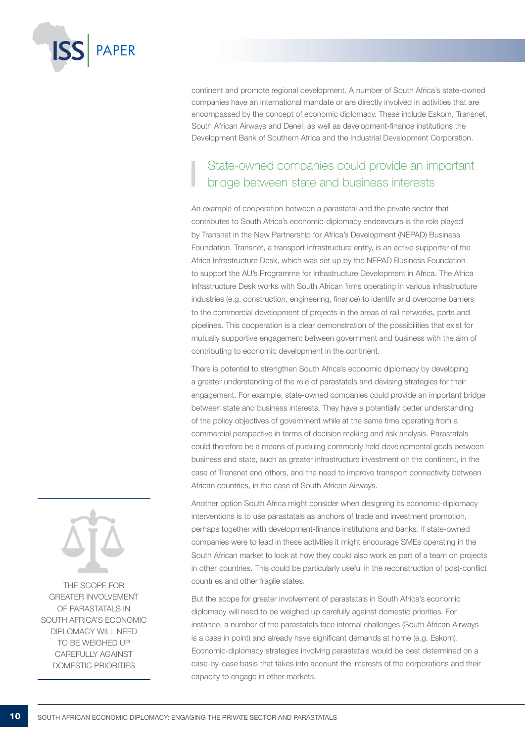

continent and promote regional development. A number of South Africa's state-owned companies have an international mandate or are directly involved in activities that are encompassed by the concept of economic diplomacy. These include Eskom, Transnet, South African Airways and Denel, as well as development-finance institutions the Development Bank of Southern Africa and the Industrial Development Corporation.

# State-owned companies could provide an important bridge between state and business interests

An example of cooperation between a parastatal and the private sector that contributes to South Africa's economic-diplomacy endeavours is the role played by Transnet in the New Partnership for Africa's Development (NEPAD) Business Foundation. Transnet, a transport infrastructure entity, is an active supporter of the Africa Infrastructure Desk, which was set up by the NEPAD Business Foundation to support the AU's Programme for Infrastructure Development in Africa. The Africa Infrastructure Desk works with South African firms operating in various infrastructure industries (e.g. construction, engineering, finance) to identify and overcome barriers to the commercial development of projects in the areas of rail networks, ports and pipelines. This cooperation is a clear demonstration of the possibilities that exist for mutually supportive engagement between government and business with the aim of contributing to economic development in the continent.

There is potential to strengthen South Africa's economic diplomacy by developing a greater understanding of the role of parastatals and devising strategies for their engagement. For example, state-owned companies could provide an important bridge between state and business interests. They have a potentially better understanding of the policy objectives of government while at the same time operating from a commercial perspective in terms of decision making and risk analysis. Parastatals could therefore be a means of pursuing commonly held developmental goals between business and state, such as greater infrastructure investment on the continent, in the case of Transnet and others, and the need to improve transport connectivity between African countries, in the case of South African Airways.

Another option South Africa might consider when designing its economic-diplomacy interventions is to use parastatals as anchors of trade and investment promotion, perhaps together with development-finance institutions and banks. If state-owned companies were to lead in these activities it might encourage SMEs operating in the South African market to look at how they could also work as part of a team on projects in other countries. This could be particularly useful in the reconstruction of post-conflict countries and other fragile states.

But the scope for greater involvement of parastatals in South Africa's economic diplomacy will need to be weighed up carefully against domestic priorities. For instance, a number of the parastatals face internal challenges (South African Airways is a case in point) and already have significant demands at home (e.g. Eskom). Economic-diplomacy strategies involving parastatals would be best determined on a case-by-case basis that takes into account the interests of the corporations and their capacity to engage in other markets.



The scope for greater involvement of parastatals in South Africa's economic diplomacy will need to be weighed up carefully against domestic priorities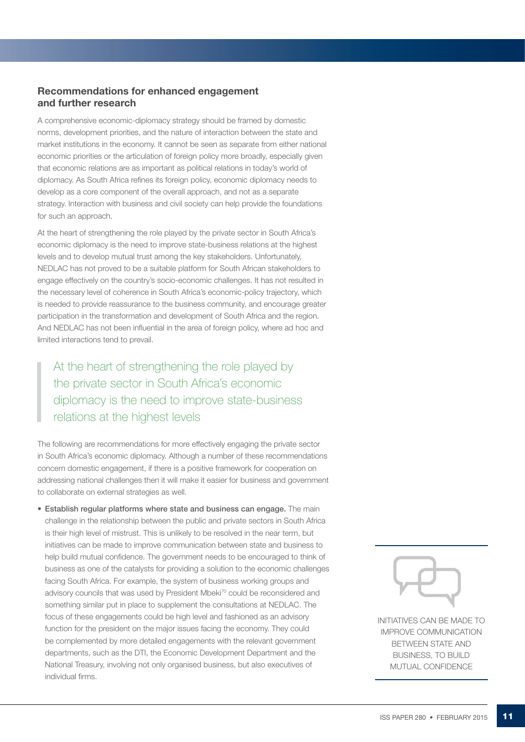### Recommendations for enhanced engagement and further research

A comprehensive economic-diplomacy strategy should be framed by domestic norms, development priorities, and the nature of interaction between the state and market institutions in the economy. It cannot be seen as separate from either national economic priorities or the articulation of foreign policy more broadly, especially given that economic relations are as important as political relations in today's world of diplomacy. As South Africa refines its foreign policy, economic diplomacy needs to develop as a core component of the overall approach, and not as a separate strategy. Interaction with business and civil society can help provide the foundations for such an approach.

At the heart of strengthening the role played by the private sector in South Africa's economic diplomacy is the need to improve state-business relations at the highest levels and to develop mutual trust among the key stakeholders. Unfortunately, NEDLAC has not proved to be a suitable platform for South African stakeholders to engage effectively on the country's socio-economic challenges. It has not resulted in the necessary level of coherence in South Africa's economic-policy trajectory, which is needed to provide reassurance to the business community, and encourage greater participation in the transformation and development of South Africa and the region. And NEDLAC has not been influential in the area of foreign policy, where ad hoc and limited interactions tend to prevail.

At the heart of strengthening the role played by the private sector in South Africa's economic diplomacy is the need to improve state-business relations at the highest levels

The following are recommendations for more effectively engaging the private sector in South Africa's economic diplomacy. Although a number of these recommendations concern domestic engagement, if there is a positive framework for cooperation on addressing national challenges then it will make it easier for business and government to collaborate on external strategies as well.

• Establish regular platforms where state and business can engage. The main challenge in the relationship between the public and private sectors in South Africa is their high level of mistrust. This is unlikely to be resolved in the near term, but initiatives can be made to improve communication between state and business to help build mutual confidence. The government needs to be encouraged to think of business as one of the catalysts for providing a solution to the economic challenges facing South Africa. For example, the system of business working groups and advisory councils that was used by President Mbeki<sup>70</sup> could be reconsidered and something similar put in place to supplement the consultations at NEDLAC. The focus of these engagements could be high level and fashioned as an advisory function for the president on the major issues facing the economy. They could be complemented by more detailed engagements with the relevant government departments, such as the DTI, the Economic Development Department and the National Treasury, involving not only organised business, but also executives of individual firms.



Initiatives can be made to improve communication between state and business, to build mutual confidence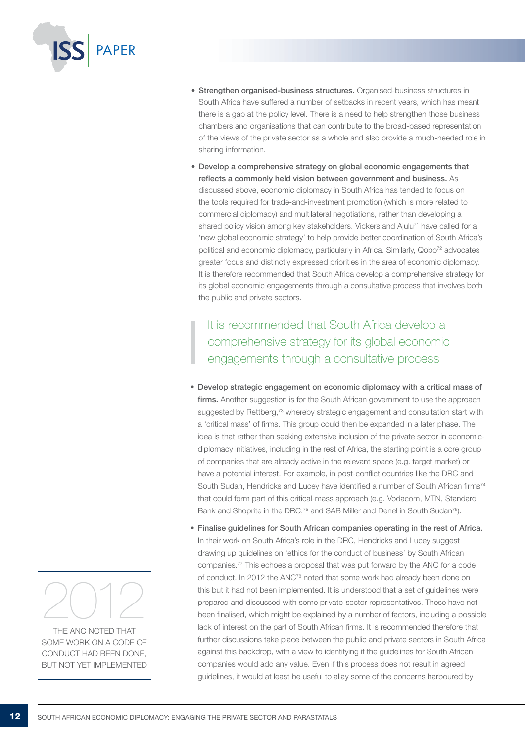

- Strengthen organised-business structures. Organised-business structures in South Africa have suffered a number of setbacks in recent years, which has meant there is a gap at the policy level. There is a need to help strengthen those business chambers and organisations that can contribute to the broad-based representation of the views of the private sector as a whole and also provide a much-needed role in sharing information.
- • Develop a comprehensive strategy on global economic engagements that reflects a commonly held vision between government and business. As discussed above, economic diplomacy in South Africa has tended to focus on the tools required for trade-and-investment promotion (which is more related to commercial diplomacy) and multilateral negotiations, rather than developing a shared policy vision among key stakeholders. Vickers and Ajulu<sup>71</sup> have called for a 'new global economic strategy' to help provide better coordination of South Africa's political and economic diplomacy, particularly in Africa. Similarly, Qobo<sup>72</sup> advocates greater focus and distinctly expressed priorities in the area of economic diplomacy. It is therefore recommended that South Africa develop a comprehensive strategy for its global economic engagements through a consultative process that involves both the public and private sectors.

It is recommended that South Africa develop a comprehensive strategy for its global economic engagements through a consultative process

- • Develop strategic engagement on economic diplomacy with a critical mass of firms. Another suggestion is for the South African government to use the approach suggested by Rettberg,<sup>73</sup> whereby strategic engagement and consultation start with a 'critical mass' of firms. This group could then be expanded in a later phase. The idea is that rather than seeking extensive inclusion of the private sector in economicdiplomacy initiatives, including in the rest of Africa, the starting point is a core group of companies that are already active in the relevant space (e.g. target market) or have a potential interest. For example, in post-conflict countries like the DRC and South Sudan, Hendricks and Lucey have identified a number of South African firms<sup>74</sup> that could form part of this critical-mass approach (e.g. Vodacom, MTN, Standard Bank and Shoprite in the DRC;<sup>75</sup> and SAB Miller and Denel in South Sudan<sup>76</sup>).
- Finalise guidelines for South African companies operating in the rest of Africa. In their work on South Africa's role in the DRC, Hendricks and Lucey suggest drawing up guidelines on 'ethics for the conduct of business' by South African companies.77 This echoes a proposal that was put forward by the ANC for a code of conduct. In 2012 the ANC78 noted that some work had already been done on this but it had not been implemented. It is understood that a set of guidelines were prepared and discussed with some private-sector representatives. These have not been finalised, which might be explained by a number of factors, including a possible lack of interest on the part of South African firms. It is recommended therefore that further discussions take place between the public and private sectors in South Africa against this backdrop, with a view to identifying if the guidelines for South African companies would add any value. Even if this process does not result in agreed guidelines, it would at least be useful to allay some of the concerns harboured by



THE ANC NOTED THAT some work on a code of conduct had been done, but not yet implemented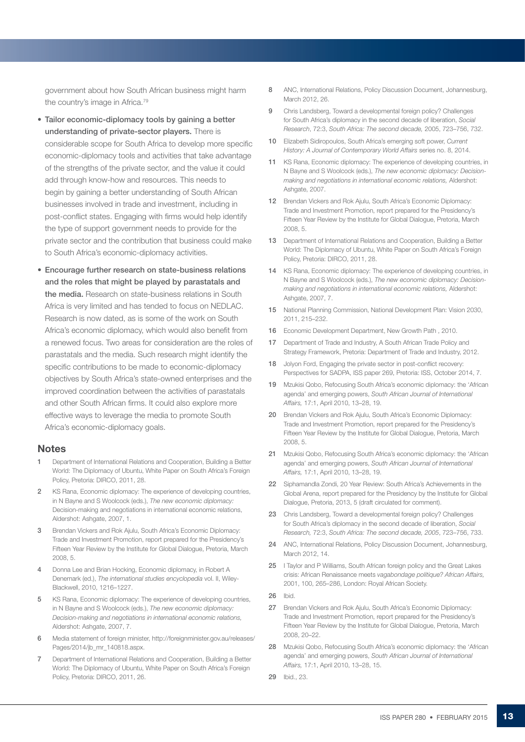government about how South African business might harm the country's image in Africa.<sup>79</sup>

- Tailor economic-diplomacy tools by gaining a better understanding of private-sector players. There is considerable scope for South Africa to develop more specific economic-diplomacy tools and activities that take advantage of the strengths of the private sector, and the value it could add through know-how and resources. This needs to begin by gaining a better understanding of South African businesses involved in trade and investment, including in post-conflict states. Engaging with firms would help identify the type of support government needs to provide for the private sector and the contribution that business could make to South Africa's economic-diplomacy activities.
- **Encourage further research on state-business relations** and the roles that might be played by parastatals and the media. Research on state-business relations in South Africa is very limited and has tended to focus on NEDLAC. Research is now dated, as is some of the work on South Africa's economic diplomacy, which would also benefit from a renewed focus. Two areas for consideration are the roles of parastatals and the media. Such research might identify the specific contributions to be made to economic-diplomacy objectives by South Africa's state-owned enterprises and the improved coordination between the activities of parastatals and other South African firms. It could also explore more effective ways to leverage the media to promote South Africa's economic-diplomacy goals.

#### **Notes**

- 1 Department of International Relations and Cooperation, Building a Better World: The Diplomacy of Ubuntu, White Paper on South Africa's Foreign Policy, Pretoria: DIRCO, 2011, 28.
- 2 KS Rana, Economic diplomacy: The experience of developing countries, in N Bayne and S Woolcock (eds.), *The new economic diplomacy:*  Decision-making and negotiations in international economic relations, Aldershot: Ashgate, 2007, 1.
- 3 Brendan Vickers and Rok Ajulu, South Africa's Economic Diplomacy: Trade and Investment Promotion, report prepared for the Presidency's Fifteen Year Review by the Institute for Global Dialogue, Pretoria, March 2008, 5.
- 4 Donna Lee and Brian Hocking, Economic diplomacy, in Robert A Denemark (ed.), *The international studies encyclopedia* vol. II, Wiley-Blackwell, 2010, 1216–1227.
- 5 KS Rana, Economic diplomacy: The experience of developing countries, in N Bayne and S Woolcock (eds.), *The new economic diplomacy: Decision-making and negotiations in international economic relations,* Aldershot: Ashgate, 2007, 7.
- 6 Media statement of foreign minister, http://foreignminister.gov.au/releases/ Pages/2014/jb\_mr\_140818.aspx.
- 7 Department of International Relations and Cooperation, Building a Better World: The Diplomacy of Ubuntu, White Paper on South Africa's Foreign Policy, Pretoria: DIRCO, 2011, 26.
- 8 ANC, International Relations, Policy Discussion Document, Johannesburg, March 2012, 26.
- 9 Chris Landsberg, Toward a developmental foreign policy? Challenges for South Africa's diplomacy in the second decade of liberation, *Social Research*, 72:3, *South Africa: The second decade,* 2005, 723–756, 732.
- 10 Elizabeth Sidiropoulos, South Africa's emerging soft power, *Current History: A Journal of Contemporary World Affairs* series no. 8, 2014.
- 11 KS Rana, Economic diplomacy: The experience of developing countries, in N Bayne and S Woolcock (eds.), *The new economic diplomacy: Decisionmaking and negotiations in international economic relations,* Aldershot: Ashgate, 2007.
- 12 Brendan Vickers and Rok Ajulu, South Africa's Economic Diplomacy: Trade and Investment Promotion, report prepared for the Presidency's Fifteen Year Review by the Institute for Global Dialogue, Pretoria, March 2008, 5.
- 13 Department of International Relations and Cooperation, Building a Better World: The Diplomacy of Ubuntu, White Paper on South Africa's Foreign Policy, Pretoria: DIRCO, 2011, 28.
- 14 KS Rana, Economic diplomacy: The experience of developing countries, in N Bayne and S Woolcock (eds.), *The new economic diplomacy: Decisionmaking and negotiations in international economic relations,* Aldershot: Ashgate, 2007, 7.
- 15 National Planning Commission, National Development Plan: Vision 2030, 2011, 215–232.
- 16 Economic Development Department, New Growth Path , 2010.
- 17 Department of Trade and Industry, A South African Trade Policy and Strategy Framework, Pretoria: Department of Trade and Industry, 2012.
- 18 Jolyon Ford, Engaging the private sector in post-conflict recovery: Perspectives for SADPA, ISS paper 269, Pretoria: ISS, October 2014, 7.
- 19 Mzukisi Qobo, Refocusing South Africa's economic diplomacy: the 'African agenda' and emerging powers, *South African Journal of International Affairs,* 17:1, April 2010, 13–28, 19.
- 20 Brendan Vickers and Rok Ajulu, South Africa's Economic Diplomacy: Trade and Investment Promotion, report prepared for the Presidency's Fifteen Year Review by the Institute for Global Dialogue, Pretoria, March 2008, 5.
- 21 Mzukisi Qobo, Refocusing South Africa's economic diplomacy: the 'African agenda' and emerging powers, *South African Journal of International Affairs,* 17:1, April 2010, 13–28, 19.
- 22 Siphamandla Zondi, 20 Year Review: South Africa's Achievements in the Global Arena, report prepared for the Presidency by the Institute for Global Dialogue, Pretoria, 2013, 5 (draft circulated for comment).
- 23 Chris Landsberg, Toward a developmental foreign policy? Challenges for South Africa's diplomacy in the second decade of liberation, *Social Research,* 72:3, *South Africa: The second decade, 2005*, 723–756, 733.
- 24 ANC, International Relations, Policy Discussion Document, Johannesburg, March 2012, 14.
- 25 I Taylor and P Williams, South African foreign policy and the Great Lakes crisis: African Renaissance meets *vagabondage politique? African Affairs,*  2001, 100, 265–286, London: Royal African Society.
- 26 Ibid.
- 27 Brendan Vickers and Rok Ajulu, South Africa's Economic Diplomacy: Trade and Investment Promotion, report prepared for the Presidency's Fifteen Year Review by the Institute for Global Dialogue, Pretoria, March 2008, 20–22.
- 28 Mzukisi Qobo, Refocusing South Africa's economic diplomacy: the 'African agenda' and emerging powers, *South African Journal of International Affairs,* 17:1, April 2010, 13–28, 15.
- 29 Ibid., 23.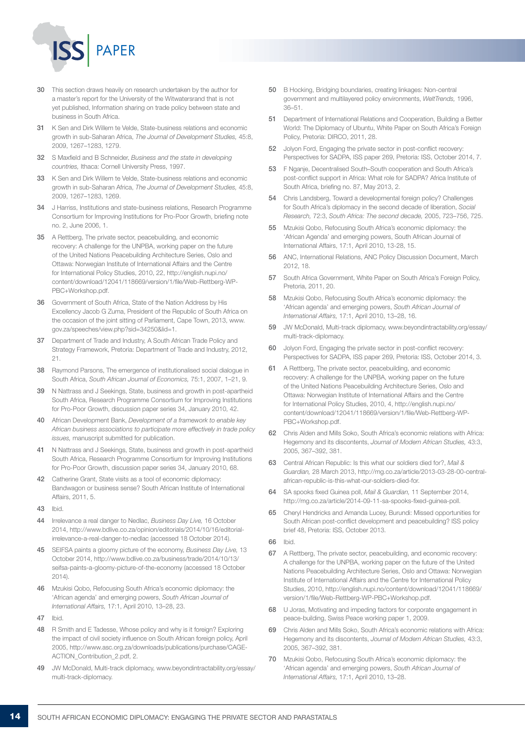

- 30 This section draws heavily on research undertaken by the author for a master's report for the University of the Witwatersrand that is not yet published, Information sharing on trade policy between state and business in South Africa.
- 31 K Sen and Dirk Willem te Velde, State-business relations and economic growth in sub-Saharan Africa, *The Journal of Development Studies,* 45:8, 2009, 1267–1283, 1279.
- 32 S Maxfield and B Schneider, *Business and the state in developing countries,* Ithaca: Cornell University Press, 1997.
- 33 K Sen and Dirk Willem te Velde, State-business relations and economic growth in sub-Saharan Africa, *The Journal of Development Studies,* 45:8, 2009, 1267–1283, 1269.
- 34 J Harriss, Institutions and state-business relations, Research Programme Consortium for Improving Institutions for Pro-Poor Growth, briefing note no. 2, June 2006, 1.
- 35 A Rettberg, The private sector, peacebuilding, and economic recovery: A challenge for the UNPBA, working paper on the future of the United Nations Peacebuilding Architecture Series, Oslo and Ottawa: Norwegian Institute of International Affairs and the Centre for International Policy Studies, 2010, 22, http://english.nupi.no/ content/download/12041/118669/version/1/file/Web-Rettberg-WP-PBC+Workshop.pdf.
- 36 Government of South Africa, State of the Nation Address by His Excellency Jacob G Zuma, President of the Republic of South Africa on the occasion of the joint sitting of Parliament, Cape Town, 2013, www. gov.za/speeches/view.php?sid=34250&lid=1.
- 37 Department of Trade and Industry, A South African Trade Policy and Strategy Framework, Pretoria: Department of Trade and Industry, 2012, 21.
- 38 Raymond Parsons, The emergence of institutionalised social dialogue in South Africa, *South African Journal of Economics,* 75:1, 2007, 1–21, 9.
- 39 N Nattrass and J Seekings, State, business and growth in post-apartheid South Africa, Research Programme Consortium for Improving Institutions for Pro-Poor Growth, discussion paper series 34, January 2010, 42.
- 40 African Development Bank, *Development of a framework to enable key African business associations to participate more effectively in trade policy issues,* manuscript submitted for publication.
- 41 N Nattrass and J Seekings, State, business and growth in post-apartheid South Africa, Research Programme Consortium for Improving Institutions for Pro-Poor Growth, discussion paper series 34, January 2010, 68.
- 42 Catherine Grant, State visits as a tool of economic diplomacy: Bandwagon or business sense? South African Institute of International Affairs, 2011, 5.
- 43 Ibid.
- 44 Irrelevance a real danger to Nedlac, *Business Day Live,* 16 October 2014, http://www.bdlive.co.za/opinion/editorials/2014/10/16/editorialirrelevance-a-real-danger-to-nedlac (accessed 18 October 2014).
- 45 SEIFSA paints a gloomy picture of the economy, *Business Day Live,* 13 October 2014, http://www.bdlive.co.za/business/trade/2014/10/13/ seifsa-paints-a-gloomy-picture-of-the-economy (accessed 18 October 2014).
- 46 Mzukisi Qobo, Refocusing South Africa's economic diplomacy: the 'African agenda' and emerging powers, *South African Journal of International Affairs,* 17:1, April 2010, 13–28, 23.
- 47 Ibid.
- 48 R Smith and E Tadesse, Whose policy and why is it foreign? Exploring the impact of civil society influence on South African foreign policy, April 2005, http://www.asc.org.za/downloads/publications/purchase/CAGE-ACTION\_Contribution\_2.pdf, 2.
- 49 JW McDonald, Multi-track diplomacy, www.beyondintractability.org/essay/ multi-track-diplomacy.
- 50 B Hocking, Bridging boundaries, creating linkages: Non-central government and multilayered policy environments, *WeltTrends,* 1996, 36–51.
- 51 Department of International Relations and Cooperation, Building a Better World: The Diplomacy of Ubuntu, White Paper on South Africa's Foreign Policy, Pretoria: DIRCO, 2011, 28.
- 52 Jolyon Ford, Engaging the private sector in post-conflict recovery: Perspectives for SADPA, ISS paper 269, Pretoria: ISS, October 2014, 7.
- 53 F Nganje, Decentralised South–South cooperation and South Africa's post-conflict support in Africa: What role for SADPA? Africa Institute of South Africa, briefing no. 87, May 2013, 2.
- 54 Chris Landsberg, Toward a developmental foreign policy? Challenges for South Africa's diplomacy in the second decade of liberation, *Social Research,* 72:3, *South Africa: The second decade,* 2005, 723–756, 725.
- 55 Mzukisi Qobo, Refocusing South Africa's economic diplomacy: the 'African Agenda' and emerging powers, South African Journal of International Affairs, 17:1, April 2010, 13-28, 15.
- 56 ANC, International Relations, ANC Policy Discussion Document, March 2012, 18.
- 57 South Africa Government, White Paper on South Africa's Foreign Policy, Pretoria, 2011, 20.
- 58 Mzukisi Qobo, Refocusing South Africa's economic diplomacy: the 'African agenda' and emerging powers, *South African Journal of International Affairs,* 17:1, April 2010, 13–28, 16.
- 59 JW McDonald, Multi-track diplomacy, www.beyondintractability.org/essay/ multi-track-diplomacy.
- 60 Jolyon Ford, Engaging the private sector in post-conflict recovery: Perspectives for SADPA, ISS paper 269, Pretoria: ISS, October 2014, 3.
- 61 A Rettberg, The private sector, peacebuilding, and economic recovery: A challenge for the UNPBA, working paper on the future of the United Nations Peacebuilding Architecture Series, Oslo and Ottawa: Norwegian Institute of International Affairs and the Centre for International Policy Studies, 2010, 4, http://english.nupi.no/ content/download/12041/118669/version/1/file/Web-Rettberg-WP-PBC+Workshop.pdf.
- 62 Chris Alden and Mills Soko, South Africa's economic relations with Africa: Hegemony and its discontents, *Journal of Modern African Studies,* 43:3, 2005, 367–392, 381.
- 63 Central African Republic: Is this what our soldiers died for?, *Mail & Guardian,* 28 March 2013, http://mg.co.za/article/2013-03-28-00-centralafrican-republic-is-this-what-our-soldiers-died-for.
- 64 SA spooks fixed Guinea poll, *Mail & Guardian,* 11 September 2014, http://mg.co.za/article/2014-09-11-sa-spooks-fixed-guinea-poll.
- 65 Cheryl Hendricks and Amanda Lucey, Burundi: Missed opportunities for South African post-conflict development and peacebuilding? ISS policy brief 48, Pretoria: ISS, October 2013.
- 66 Ibid.
- 67 A Rettberg, The private sector, peacebuilding, and economic recovery: A challenge for the UNPBA, working paper on the future of the United Nations Peacebuilding Architecture Series, Oslo and Ottawa: Norwegian Institute of International Affairs and the Centre for International Policy Studies, 2010, http://english.nupi.no/content/download/12041/118669/ version/1/file/Web-Rettberg-WP-PBC+Workshop.pdf.
- 68 U Joras, Motivating and impeding factors for corporate engagement in peace-building, Swiss Peace working paper 1, 2009.
- 69 Chris Alden and Mills Soko, South Africa's economic relations with Africa: Hegemony and its discontents, *Journal of Modern African Studies,* 43:3, 2005, 367–392, 381.
- 70 Mzukisi Qobo, Refocusing South Africa's economic diplomacy: the 'African agenda' and emerging powers, *South African Journal of International Affairs,* 17:1, April 2010, 13–28.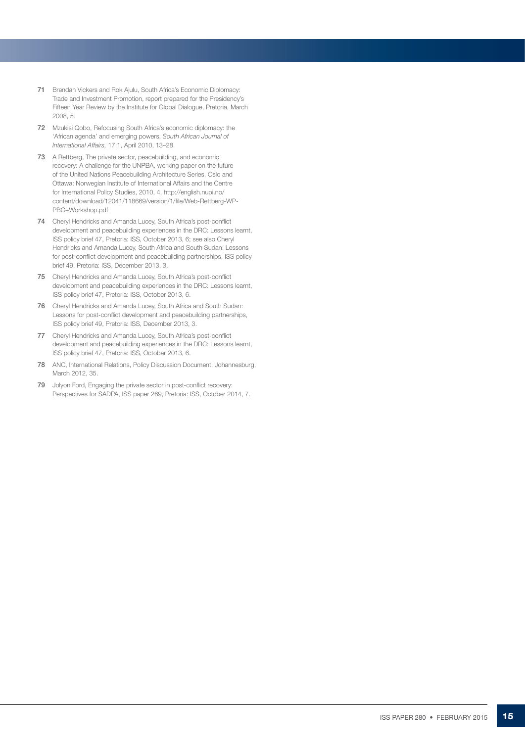- 71 Brendan Vickers and Rok Ajulu, South Africa's Economic Diplomacy: Trade and Investment Promotion, report prepared for the Presidency's Fifteen Year Review by the Institute for Global Dialogue, Pretoria, March 2008, 5.
- 72 Mzukisi Qobo, Refocusing South Africa's economic diplomacy: the 'African agenda' and emerging powers, *South African Journal of International Affairs,* 17:1, April 2010, 13–28.
- 73 A Rettberg, The private sector, peacebuilding, and economic recovery: A challenge for the UNPBA, working paper on the future of the United Nations Peacebuilding Architecture Series, Oslo and Ottawa: Norwegian Institute of International Affairs and the Centre for International Policy Studies, 2010, 4, http://english.nupi.no/ content/download/12041/118669/version/1/file/Web-Rettberg-WP-PBC+Workshop.pdf
- 74 Cheryl Hendricks and Amanda Lucey, South Africa's post-conflict development and peacebuilding experiences in the DRC: Lessons learnt, ISS policy brief 47, Pretoria: ISS, October 2013, 6; see also Cheryl Hendricks and Amanda Lucey, South Africa and South Sudan: Lessons for post-conflict development and peacebuilding partnerships, ISS policy brief 49, Pretoria: ISS, December 2013, 3.
- 75 Cheryl Hendricks and Amanda Lucey, South Africa's post-conflict development and peacebuilding experiences in the DRC: Lessons learnt, ISS policy brief 47, Pretoria: ISS, October 2013, 6.
- 76 Cheryl Hendricks and Amanda Lucey, South Africa and South Sudan: Lessons for post-conflict development and peacebuilding partnerships, ISS policy brief 49, Pretoria: ISS, December 2013, 3.
- 77 Cheryl Hendricks and Amanda Lucey, South Africa's post-conflict development and peacebuilding experiences in the DRC: Lessons learnt, ISS policy brief 47, Pretoria: ISS, October 2013, 6.
- 78 ANC, International Relations, Policy Discussion Document, Johannesburg, March 2012, 35.
- 79 Jolyon Ford, Engaging the private sector in post-conflict recovery: Perspectives for SADPA, ISS paper 269, Pretoria: ISS, October 2014, 7.